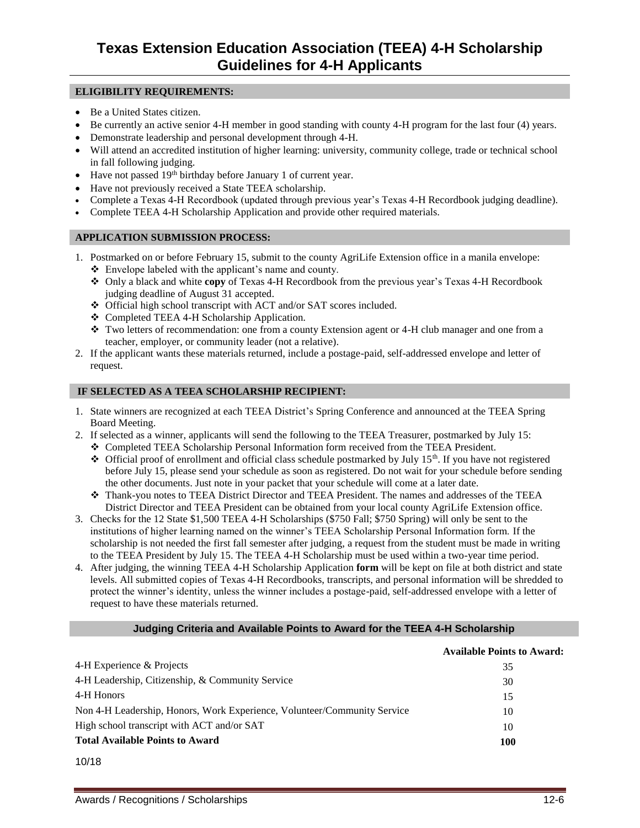### **ELIGIBILITY REQUIREMENTS:**

- Be a United States citizen.
- Be currently an active senior 4-H member in good standing with county 4-H program for the last four (4) years.
- Demonstrate leadership and personal development through 4-H.
- Will attend an accredited institution of higher learning: university, community college, trade or technical school in fall following judging.
- Have not passed 19<sup>th</sup> birthday before January 1 of current year.
- Have not previously received a State TEEA scholarship.
- Complete a Texas 4-H Recordbook (updated through previous year's Texas 4-H Recordbook judging deadline).
- Complete TEEA 4-H Scholarship Application and provide other required materials.

## **APPLICATION SUBMISSION PROCESS:**

- 1. Postmarked on or before February 15, submit to the county AgriLife Extension office in a manila envelope: ❖ Envelope labeled with the applicant's name and county.
	- ❖ Only a black and white **copy** of Texas 4-H Recordbook from the previous year's Texas 4-H Recordbook judging deadline of August 31 accepted.
	- ❖ Official high school transcript with ACT and/or SAT scores included.
	- ❖ Completed TEEA 4-H Scholarship Application.
	- ❖ Two letters of recommendation: one from a county Extension agent or 4-H club manager and one from a teacher, employer, or community leader (not a relative).
- 2. If the applicant wants these materials returned, include a postage-paid, self-addressed envelope and letter of request.

## **IF SELECTED AS A TEEA SCHOLARSHIP RECIPIENT:**

- 1. State winners are recognized at each TEEA District's Spring Conference and announced at the TEEA Spring Board Meeting.
- 2. If selected as a winner, applicants will send the following to the TEEA Treasurer, postmarked by July 15:
	- ❖ Completed TEEA Scholarship Personal Information form received from the TEEA President.
	- ❖ Official proof of enrollment and official class schedule postmarked by July 15th. If you have not registered before July 15, please send your schedule as soon as registered. Do not wait for your schedule before sending the other documents. Just note in your packet that your schedule will come at a later date.
	- ❖ Thank-you notes to TEEA District Director and TEEA President. The names and addresses of the TEEA District Director and TEEA President can be obtained from your local county AgriLife Extension office.
- 3. Checks for the 12 State \$1,500 TEEA 4-H Scholarships (\$750 Fall; \$750 Spring) will only be sent to the institutions of higher learning named on the winner's TEEA Scholarship Personal Information form. If the scholarship is not needed the first fall semester after judging, a request from the student must be made in writing to the TEEA President by July 15. The TEEA 4-H Scholarship must be used within a two-year time period.
- 4. After judging, the winning TEEA 4-H Scholarship Application **form** will be kept on file at both district and state levels. All submitted copies of Texas 4-H Recordbooks, transcripts, and personal information will be shredded to protect the winner's identity, unless the winner includes a postage-paid, self-addressed envelope with a letter of request to have these materials returned.

### **Judging Criteria and Available Points to Award for the TEEA 4-H Scholarship**

|                                                                          | <b>Available Points to Award:</b> |
|--------------------------------------------------------------------------|-----------------------------------|
| 4-H Experience & Projects                                                | 35                                |
| 4-H Leadership, Citizenship, & Community Service                         | 30                                |
| 4-H Honors                                                               | 15                                |
| Non 4-H Leadership, Honors, Work Experience, Volunteer/Community Service | 10                                |
| High school transcript with ACT and/or SAT                               | 10                                |
| <b>Total Available Points to Award</b>                                   | <b>100</b>                        |

10/18